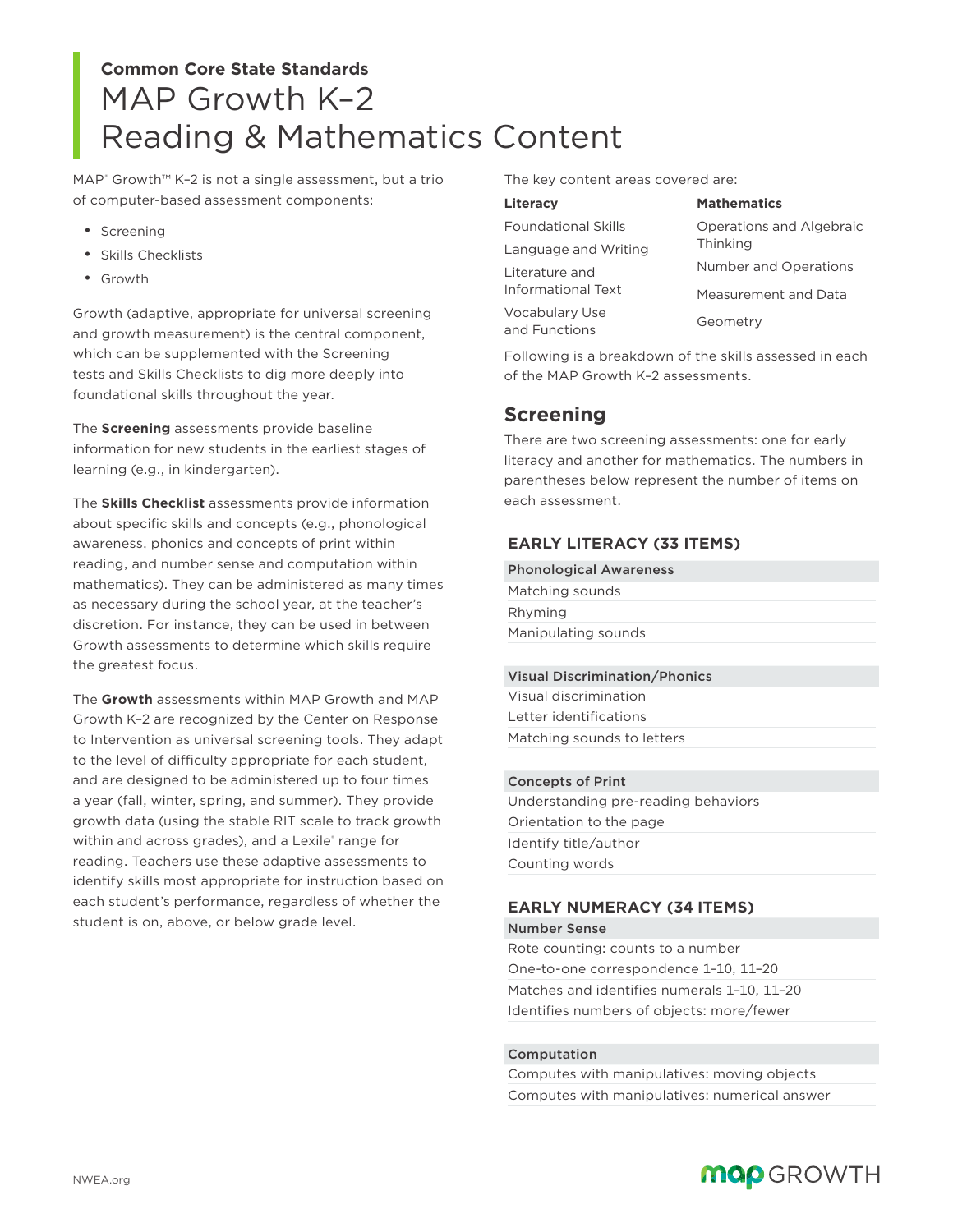# Reading & Mathematics Content **Common Core State Standards** MAP Growth K–2

MAP<sup>®</sup> Growth™ K-2 is not a single assessment, but a trio of computer-based assessment components:

- Screening
- Skills Checklists
- Growth

Growth (adaptive, appropriate for universal screening and growth measurement) is the central component, which can be supplemented with the Screening tests and Skills Checklists to dig more deeply into foundational skills throughout the year.

The **Screening** assessments provide baseline information for new students in the earliest stages of learning (e.g., in kindergarten).

The **Skills Checklist** assessments provide information about specific skills and concepts (e.g., phonological awareness, phonics and concepts of print within reading, and number sense and computation within mathematics). They can be administered as many times as necessary during the school year, at the teacher's discretion. For instance, they can be used in between Growth assessments to determine which skills require the greatest focus.

The **Growth** assessments within MAP Growth and MAP Growth K–2 are recognized by the Center on Response to Intervention as universal screening tools. They adapt to the level of difficulty appropriate for each student, and are designed to be administered up to four times a year (fall, winter, spring, and summer). They provide growth data (using the stable RIT scale to track growth within and across grades), and a Lexile® range for reading. Teachers use these adaptive assessments to identify skills most appropriate for instruction based on each student's performance, regardless of whether the student is on, above, or below grade level.

The key content areas covered are:

| Literacy                        | <b>Mathematics</b>                   |
|---------------------------------|--------------------------------------|
| <b>Foundational Skills</b>      | Operations and Algebraic<br>Thinking |
| Language and Writing            |                                      |
| Literature and                  | <b>Number and Operations</b>         |
| Informational Text              | Measurement and Data                 |
| Vocabulary Use<br>and Functions | Geometry                             |

Following is a breakdown of the skills assessed in each of the MAP Growth K–2 assessments.

# **Screening**

There are two screening assessments: one for early literacy and another for mathematics. The numbers in parentheses below represent the number of items on each assessment.

# **EARLY LITERACY (33 ITEMS)**

| Matching sounds<br>Rhyming | <b>Phonological Awareness</b> |
|----------------------------|-------------------------------|
|                            |                               |
|                            |                               |
|                            | Manipulating sounds           |

## Visual Discrimination/Phonics

| Visual discrimination      |  |
|----------------------------|--|
| Letter identifications     |  |
| Matching sounds to letters |  |

#### Concepts of Print

Understanding pre-reading behaviors Orientation to the page Identify title/author Counting words

# **EARLY NUMERACY (34 ITEMS)**

Number Sense Rote counting: counts to a number One-to-one correspondence 1–10, 11–20 Matches and identifies numerals 1–10, 11–20 Identifies numbers of objects: more/fewer

### Computation

Computes with manipulatives: moving objects Computes with manipulatives: numerical answer

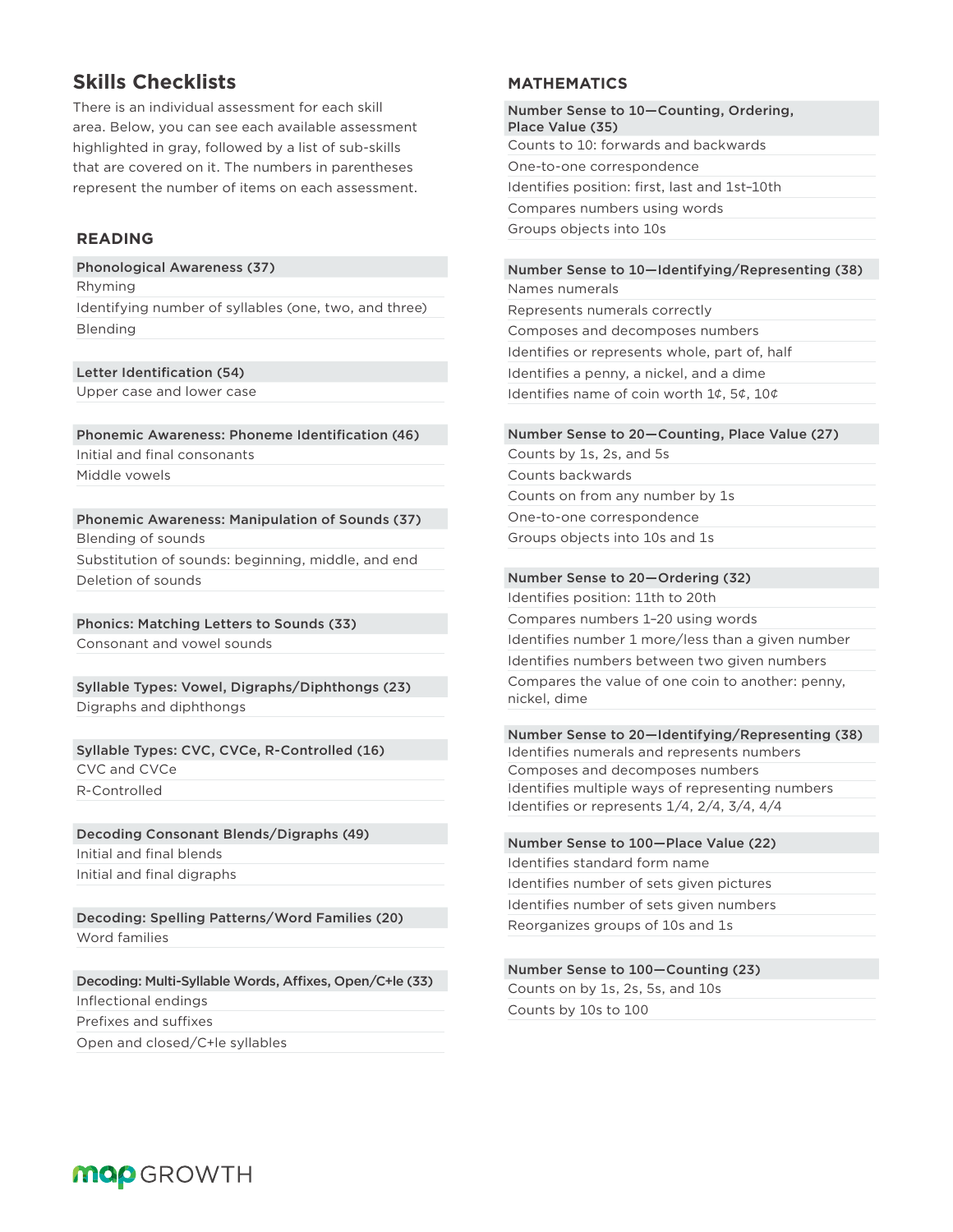# **Skills Checklists**

There is an individual assessment for each skill area. Below, you can see each available assessment highlighted in gray, followed by a list of sub-skills that are covered on it. The numbers in parentheses represent the number of items on each assessment.

# **READING**

Phonological Awareness (37) Rhyming

Identifying number of syllables (one, two, and three) Blending

Letter Identification (54)

Upper case and lower case

Phonemic Awareness: Phoneme Identification (46) Initial and final consonants Middle vowels

Phonemic Awareness: Manipulation of Sounds (37) Blending of sounds Substitution of sounds: beginning, middle, and end Deletion of sounds

Phonics: Matching Letters to Sounds (33) Consonant and vowel sounds

Syllable Types: Vowel, Digraphs/Diphthongs (23) Digraphs and diphthongs

Syllable Types: CVC, CVCe, R-Controlled (16) CVC and CVCe R-Controlled

Decoding Consonant Blends/Digraphs (49) Initial and final blends Initial and final digraphs

Decoding: Spelling Patterns/Word Families (20) Word families

Decoding: Multi-Syllable Words, Affixes, Open/C+le (33) Inflectional endings Prefixes and suffixes Open and closed/C+le syllables

# **MATHEMATICS**

Number Sense to 10—Counting, Ordering, Place Value (35) Counts to 10: forwards and backwards One-to-one correspondence Identifies position: first, last and 1st–10th Compares numbers using words Groups objects into 10s

# Number Sense to 10—Identifying/Representing (38)

Names numerals Represents numerals correctly Composes and decomposes numbers Identifies or represents whole, part of, half Identifies a penny, a nickel, and a dime Identifies name of coin worth 1¢, 5¢, 10¢

#### Number Sense to 20—Counting, Place Value (27)

Counts by 1s, 2s, and 5s Counts backwards Counts on from any number by 1s One-to-one correspondence Groups objects into 10s and 1s

#### Number Sense to 20—Ordering (32)

Identifies position: 11th to 20th Compares numbers 1–20 using words Identifies number 1 more/less than a given number Identifies numbers between two given numbers Compares the value of one coin to another: penny, nickel, dime

#### Number Sense to 20—Identifying/Representing (38) Identifies numerals and represents numbers Composes and decomposes numbers

Identifies multiple ways of representing numbers Identifies or represents 1/4, 2/4, 3/4, 4/4

Number Sense to 100—Place Value (22) Identifies standard form name Identifies number of sets given pictures Identifies number of sets given numbers Reorganizes groups of 10s and 1s

#### Number Sense to 100—Counting (23) Counts on by 1s, 2s, 5s, and 10s

Counts by 10s to 100

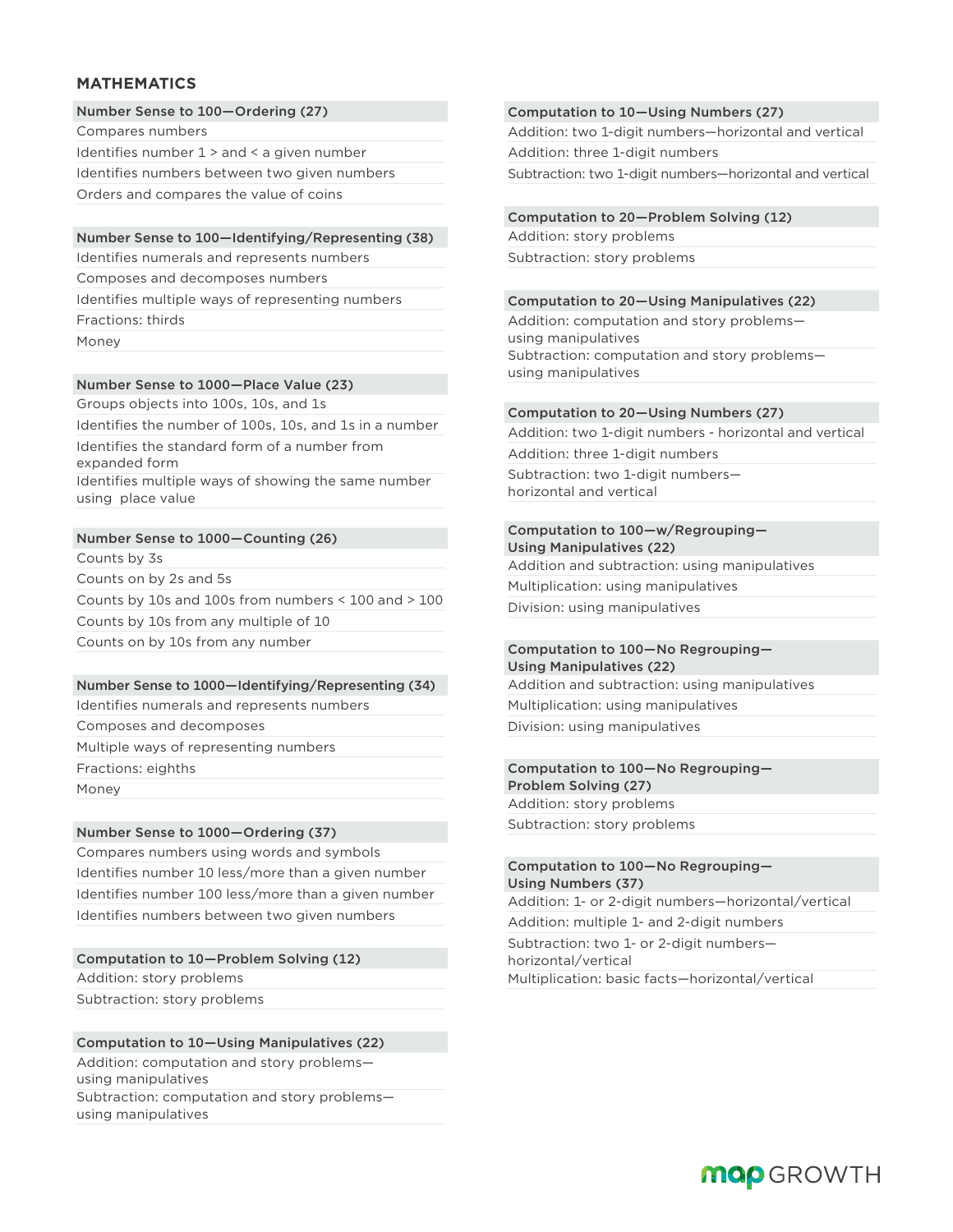# **MATHEMATICS**

#### Number Sense to 100—Ordering (27)

Compares numbers

Identifies number 1 > and < a given number

Identifies numbers between two given numbers

Orders and compares the value of coins

#### Number Sense to 100—Identifying/Representing (38)

Identifies numerals and represents numbers

Composes and decomposes numbers

Identifies multiple ways of representing numbers

Fractions: thirds

Money

# Number Sense to 1000—Place Value (23)

Groups objects into 100s, 10s, and 1s

Identifies the number of 100s, 10s, and 1s in a number Identifies the standard form of a number from

expanded form

Identifies multiple ways of showing the same number using place value

# Number Sense to 1000—Counting (26)

Counts by 3s

Counts on by 2s and 5s

Counts by 10s and 100s from numbers < 100 and > 100 Counts by 10s from any multiple of 10 Counts on by 10s from any number

# Number Sense to 1000—Identifying/Representing (34)

Identifies numerals and represents numbers Composes and decomposes Multiple ways of representing numbers

Fractions: eighths

Money

# Number Sense to 1000—Ordering (37)

Compares numbers using words and symbols Identifies number 10 less/more than a given number Identifies number 100 less/more than a given number Identifies numbers between two given numbers

Computation to 10—Problem Solving (12) Addition: story problems Subtraction: story problems

# Computation to 10—Using Manipulatives (22)

Addition: computation and story problems using manipulatives Subtraction: computation and story problems using manipulatives

#### Computation to 10—Using Numbers (27)

Addition: two 1-digit numbers—horizontal and vertical Addition: three 1-digit numbers Subtraction: two 1-digit numbers—horizontal and vertical

#### Computation to 20—Problem Solving (12)

Addition: story problems Subtraction: story problems

#### Computation to 20—Using Manipulatives (22)

Addition: computation and story problems using manipulatives Subtraction: computation and story problems using manipulatives

# Computation to 20—Using Numbers (27)

Addition: two 1-digit numbers - horizontal and vertical Addition: three 1-digit numbers Subtraction: two 1-digit numbers horizontal and vertical

# Computation to 100—w/Regrouping—

Using Manipulatives (22) Addition and subtraction: using manipulatives Multiplication: using manipulatives Division: using manipulatives

#### Computation to 100—No Regrouping— Using Manipulatives (22)

Addition and subtraction: using manipulatives Multiplication: using manipulatives Division: using manipulatives

#### Computation to 100—No Regrouping— Problem Solving (27)

Addition: story problems Subtraction: story problems

#### Computation to 100—No Regrouping— Using Numbers (37)

Addition: 1- or 2-digit numbers—horizontal/vertical

Addition: multiple 1- and 2-digit numbers Subtraction: two 1- or 2-digit numbers horizontal/vertical

Multiplication: basic facts—horizontal/vertical